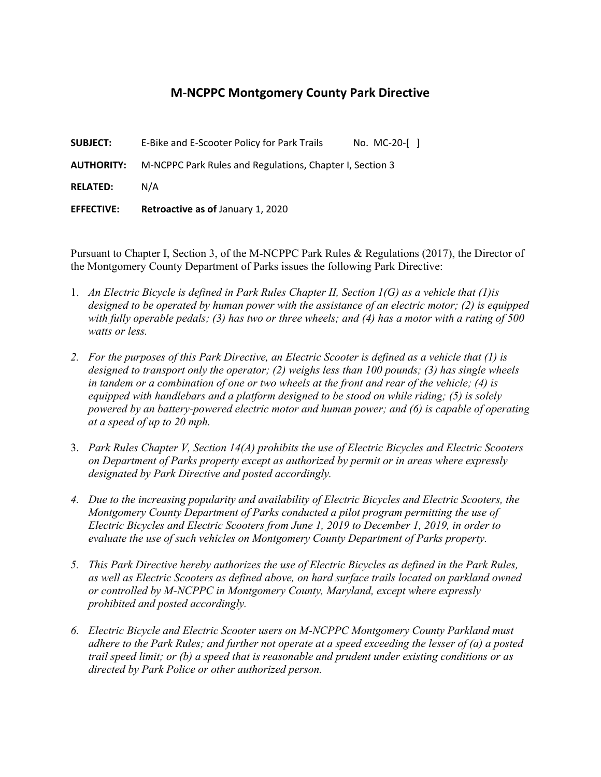## **M-NCPPC Montgomery County Park Directive**

**SUBJECT:** E-Bike and E-Scooter Policy for Park Trails No. MC-20-[ ]

**AUTHORITY:** M-NCPPC Park Rules and Regulations, Chapter I, Section 3

**RELATED:** N/A

**EFFECTIVE: Retroactive as of** January 1, 2020

Pursuant to Chapter I, Section 3, of the M-NCPPC Park Rules & Regulations (2017), the Director of the Montgomery County Department of Parks issues the following Park Directive:

- 1. *An Electric Bicycle is defined in Park Rules Chapter II, Section 1(G) as a vehicle that (1)is designed to be operated by human power with the assistance of an electric motor; (2) is equipped with fully operable pedals; (3) has two or three wheels; and (4) has a motor with a rating of 500 watts or less.*
- *2. For the purposes of this Park Directive, an Electric Scooter is defined as a vehicle that (1) is designed to transport only the operator; (2) weighs less than 100 pounds; (3) has single wheels in tandem or a combination of one or two wheels at the front and rear of the vehicle; (4) is equipped with handlebars and a platform designed to be stood on while riding; (5) is solely powered by an battery-powered electric motor and human power; and (6) is capable of operating at a speed of up to 20 mph.*
- 3. *Park Rules Chapter V, Section 14(A) prohibits the use of Electric Bicycles and Electric Scooters on Department of Parks property except as authorized by permit or in areas where expressly designated by Park Directive and posted accordingly.*
- *4. Due to the increasing popularity and availability of Electric Bicycles and Electric Scooters, the Montgomery County Department of Parks conducted a pilot program permitting the use of Electric Bicycles and Electric Scooters from June 1, 2019 to December 1, 2019, in order to evaluate the use of such vehicles on Montgomery County Department of Parks property.*
- *5. This Park Directive hereby authorizes the use of Electric Bicycles as defined in the Park Rules, as well as Electric Scooters as defined above, on hard surface trails located on parkland owned or controlled by M-NCPPC in Montgomery County, Maryland, except where expressly prohibited and posted accordingly.*
- *6. Electric Bicycle and Electric Scooter users on M-NCPPC Montgomery County Parkland must adhere to the Park Rules; and further not operate at a speed exceeding the lesser of (a) a posted trail speed limit; or (b) a speed that is reasonable and prudent under existing conditions or as directed by Park Police or other authorized person.*